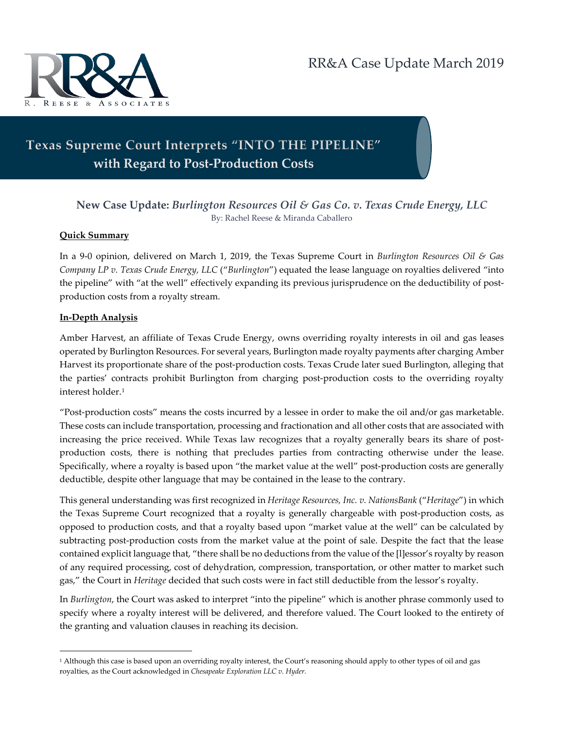

# **Texas Supreme Court Interprets "INTO THE PIPELINE**" **with Regard to Post-Production Costs**

## **New Case Update:** *Burlington Resources Oil & Gas Co. v. Texas Crude Energy, LLC* By: Rachel Reese & Miranda Caballero

### **Quick Summary**

In a 9-0 opinion, delivered on March 1, 2019, the Texas Supreme Court in *Burlington Resources Oil & Gas Company LP v. Texas Crude Energy, LLC* ("*Burlington*") equated the lease language on royalties delivered "into the pipeline" with "at the well" effectively expanding its previous jurisprudence on the deductibility of postproduction costs from a royalty stream.

### **In-Depth Analysis**

 $\overline{a}$ 

Amber Harvest, an affiliate of Texas Crude Energy, owns overriding royalty interests in oil and gas leases operated by Burlington Resources. For several years, Burlington made royalty payments after charging Amber Harvest its proportionate share of the post-production costs. Texas Crude later sued Burlington, alleging that the parties' contracts prohibit Burlington from charging post-production costs to the overriding royalty interest holder.[1](#page-0-0)

"Post-production costs" means the costs incurred by a lessee in order to make the oil and/or gas marketable. These costs can include transportation, processing and fractionation and all other costs that are associated with increasing the price received. While Texas law recognizes that a royalty generally bears its share of postproduction costs, there is nothing that precludes parties from contracting otherwise under the lease. Specifically, where a royalty is based upon "the market value at the well" post-production costs are generally deductible, despite other language that may be contained in the lease to the contrary.

This general understanding was first recognized in *Heritage Resources, Inc. v. NationsBank* ("*Heritage*") in which the Texas Supreme Court recognized that a royalty is generally chargeable with post-production costs, as opposed to production costs, and that a royalty based upon "market value at the well" can be calculated by subtracting post-production costs from the market value at the point of sale. Despite the fact that the lease contained explicit language that, "there shall be no deductions from the value of the [l]essor's royalty by reason of any required processing, cost of dehydration, compression, transportation, or other matter to market such gas," the Court in *Heritage* decided that such costs were in fact still deductible from the lessor's royalty.

In *Burlington*, the Court was asked to interpret "into the pipeline" which is another phrase commonly used to specify where a royalty interest will be delivered, and therefore valued. The Court looked to the entirety of the granting and valuation clauses in reaching its decision.

<span id="page-0-0"></span><sup>1</sup> Although this case is based upon an overriding royalty interest, the Court's reasoning should apply to other types of oil and gas royalties, as the Court acknowledged in *Chesapeake Exploration LLC v. Hyder.*